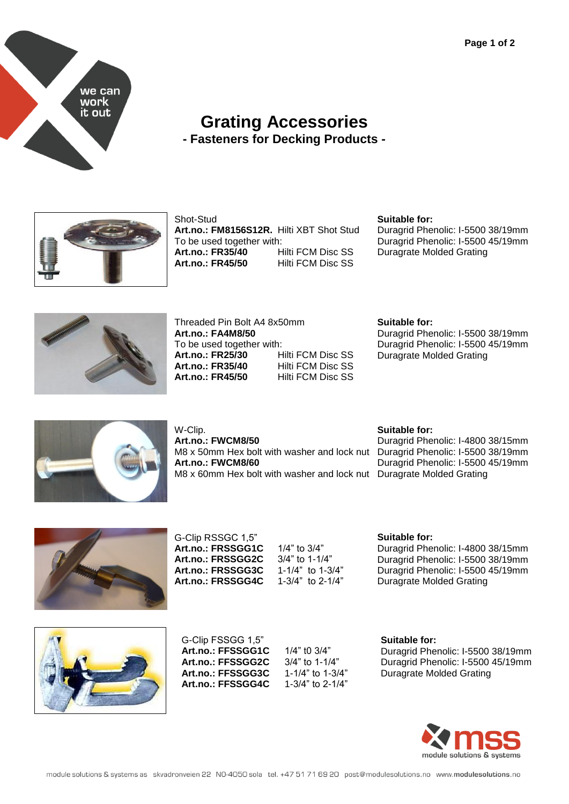

## **Grating Accessories - Fasteners for Decking Products -**



#### Shot-Stud

**Art.no.: FM8156S12R.** Hilti XBT Shot Stud To be used together with: **Art.no.: FR35/40** Hilti FCM Disc SS **Art.no.: FR45/50** Hilti FCM Disc SS

### **Suitable for:**

Duragrid Phenolic: I-5500 38/19mm Duragrid Phenolic: I-5500 45/19mm Duragrate Molded Grating



Threaded Pin Bolt A4 8x50mm **Art.no.: FA4M8/50** To be used together with:<br> **Art.no.: FR25/30** Hilti FCM Disc SS **Art.no.: FR25/30 Art.no.: FR35/40** Hilti FCM Disc SS<br> **Art.no.: FR45/50** Hilti FCM Disc SS **Art.no.: FR45/50** 

**Suitable for:**

Duragrid Phenolic: I-5500 38/19mm Duragrid Phenolic: I-5500 45/19mm Duragrate Molded Grating



W-Clip. **Art.no.: FWCM8/50** M8 x 50mm Hex bolt with washer and lock nut **Art.no.: FWCM8/60** M8 x 60mm Hex bolt with washer and lock nut Duragrate Molded Grating

### **Suitable for:**

Duragrid Phenolic: I-4800 38/15mm Duragrid Phenolic: I-5500 38/19mm Duragrid Phenolic: I-5500 45/19mm



G-Clip RSSGC 1,5" **Art.no.: FRSSGG1C** 1/4" to 3/4"<br>**Art.no.: FRSSGG2C** 3/4" to 1-1/4" **Art.no.: FRSSGG2C** 3/4" to 1-1/4"<br>**Art.no.: FRSSGG3C** 1-1/4" to 1-3/4" Art.no.: FRSSGG3C **Art.no.: FRSSGG4C** 1-3/4" to 2-1/4"

## **Suitable for:** Duragrid Phenolic: I-4800 38/15mm

Duragrid Phenolic: I-5500 38/19mm Duragrid Phenolic: I-5500 45/19mm Duragrate Molded Grating



G-Clip FSSGG 1,5" **Art.no.: FFSSGG1C** 1/4" t0 3/4" **Art.no.: FFSSGG2C** 3/4" to 1-1/4" **Art.no.: FFSSGG3C** 1-1/4" to 1-3/4"<br>**Art.no.: FFSSGG4C** 1-3/4" to 2-1/4" Art.no.: FFSSGG4C

**Suitable for:** Duragrid Phenolic: I-5500 38/19mm Duragrid Phenolic: I-5500 45/19mm Duragrate Molded Grating